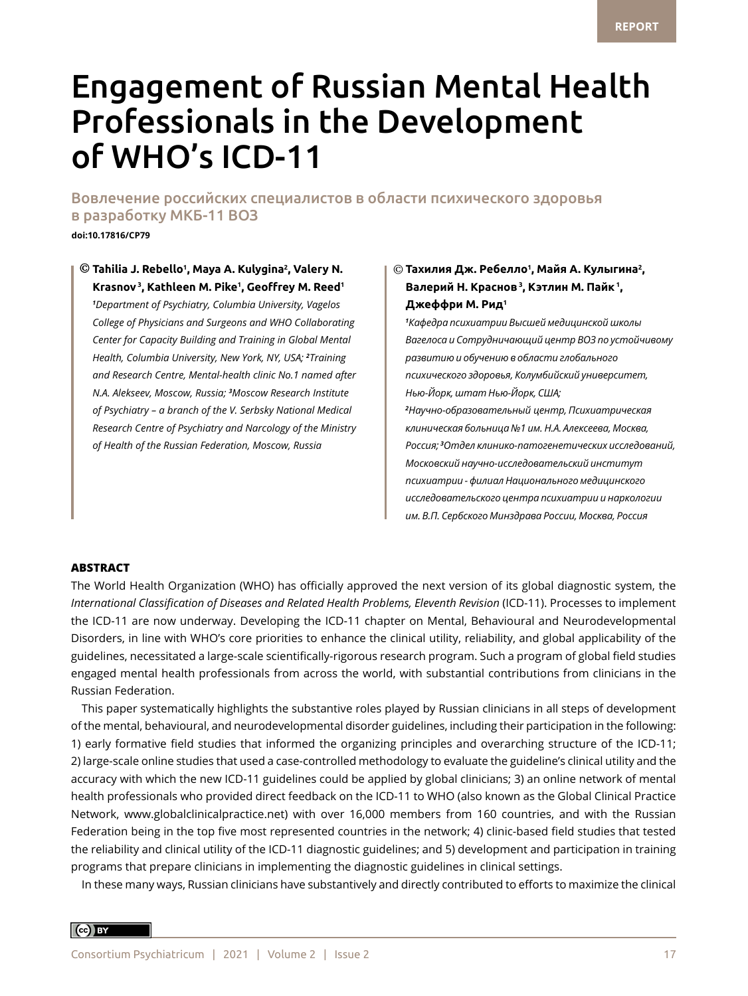# Engagement of Russian Mental Health Professionals in the Development of WHO's ICD-11

Вовлечение российских специалистов в области психического здоровья в разработку МКБ-11 ВОЗ

**doi:10.17816/CP79**

 $\odot$  Tahilia J. Rebello<sup>1</sup>, Maya A. Kulygina<sup>2</sup>, Valery N.  $\qquad \quad \mid \odot$ **Krasnov 3, Kathleen M. Pike1 , Geoffrey M. Reed<sup>1</sup>** *<sup>1</sup>* **Джеффри М. Рид<sup>1</sup>** *Department of Psychiatry, Columbia University, Vagelos College of Physicians and Surgeons and WHO Collaborating Center for Capacity Building and Training in Global Mental Health, Columbia University, New York, NY, USA; <sup>2</sup> Training and Research Centre, Mental-health clinic No.1 named after N.A. Alekseev, Moscow, Russia; <sup>3</sup> Moscow Research Institute of Psychiatry – a branch of the V. Serbsky National Medical Research Centre of Psychiatry and Narcology of the Ministry of Health of the Russian Federation, Moscow, Russia*

# **Тахилия Дж. Ребелло<sup>1</sup> , Майя А. Кулыгина<sup>2</sup> , Валерий Н. Краснов 3, Кэтлин М. Пайк 1,**

*1 Кафедра психиатрии Высшей медицинской школы Вагелоса и Сотрудничающий центр ВОЗ по устойчивому развитию и обучению в области глобального психического здоровья, Колумбийский университет, Нью-Йорк, штат Нью-Йорк, США; 2 Научно-образовательный центр, Психиатрическая клиническая больница №1 им. Н.А. Алексеева, Москва, Россия; <sup>3</sup> Отдел клинико-патогенетических исследований, Московский научно-исследовательский институт психиатрии - филиал Национального медицинского исследовательского центра психиатрии и наркологии им. В.П. Сербского Минздрава России, Москва, Россия*

#### **ABSTRACT**

The World Health Organization (WHO) has officially approved the next version of its global diagnostic system, the *International Classification of Diseases and Related Health Problems, Eleventh Revision* (ICD-11). Processes to implement the ICD-11 are now underway. Developing the ICD-11 chapter on Mental, Behavioural and Neurodevelopmental Disorders, in line with WHO's core priorities to enhance the clinical utility, reliability, and global applicability of the guidelines, necessitated a large-scale scientifically-rigorous research program. Such a program of global field studies engaged mental health professionals from across the world, with substantial contributions from clinicians in the Russian Federation.

This paper systematically highlights the substantive roles played by Russian clinicians in all steps of development of the mental, behavioural, and neurodevelopmental disorder guidelines, including their participation in the following: 1) early formative field studies that informed the organizing principles and overarching structure of the ICD-11; 2) large-scale online studies that used a case-controlled methodology to evaluate the guideline's clinical utility and the accuracy with which the new ICD-11 guidelines could be applied by global clinicians; 3) an online network of mental health professionals who provided direct feedback on the ICD-11 to WHO (also known as the Global Clinical Practice Network, www.globalclinicalpractice.net) with over 16,000 members from 160 countries, and with the Russian Federation being in the top five most represented countries in the network; 4) clinic-based field studies that tested the reliability and clinical utility of the ICD-11 diagnostic guidelines; and 5) development and participation in training programs that prepare clinicians in implementing the diagnostic guidelines in clinical settings.

In these many ways, Russian clinicians have substantively and directly contributed to efforts to maximize the clinical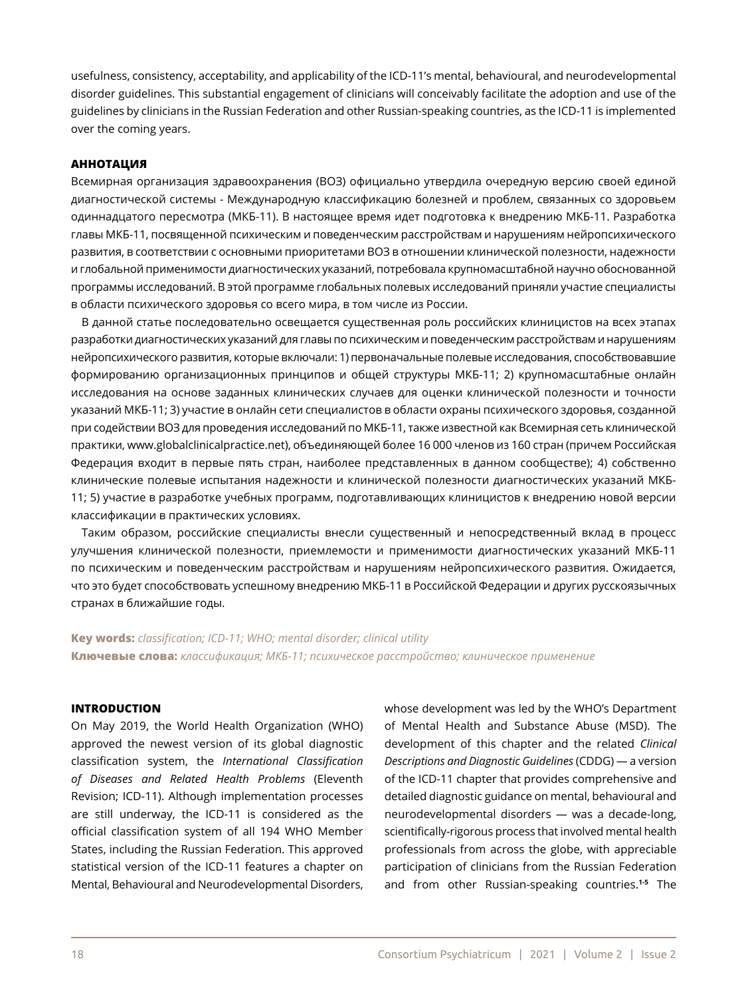usefulness, consistency, acceptability, and applicability of the ICD-11's mental, behavioural, and neurodevelopmental disorder guidelines. This substantial engagement of clinicians will conceivably facilitate the adoption and use of the guidelines by clinicians in the Russian Federation and other Russian-speaking countries, as the ICD-11 is implemented over the coming years.

#### **АННОТАЦИЯ**

Всемирная организация здравоохранения (ВОЗ) официально утвердила очередную версию своей единой диагностической системы - Международную классификацию болезней и проблем, связанных со здоровьем одиннадцатого пересмотра (МКБ-11). В настоящее время идет подготовка к внедрению МКБ-11. Разработка главы МКБ-11, посвященной психическим и поведенческим расстройствам и нарушениям нейропсихического развития, в соответствии с основными приоритетами ВОЗ в отношении клинической полезности, надежности и глобальной применимости диагностических указаний, потребовала крупномасштабной научно обоснованной программы исследований. В этой программе глобальных полевых исследований приняли участие специалисты в области психического здоровья со всего мира, в том числе из России.

В данной статье последовательно освещается существенная роль российских клиницистов на всех этапах разработки диагностических указаний для главы по психическим и поведенческим расстройствам и нарушениям нейропсихического развития, которые включали: 1) первоначальные полевые исследования, способствовавшие формированию организационных принципов и общей структуры МКБ-11; 2) крупномасштабные онлайн исследования на основе заданных клинических случаев для оценки клинической полезности и точности указаний МКБ-11; 3) участие в онлайн сети специалистов в области охраны психического здоровья, созданной при содействии ВОЗ для проведения исследований по МКБ-11, также известной как Всемирная сеть клинической практики, www.globalclinicalpractice.net), объединяющей более 16 000 членов из 160 стран (причем Российская Федерация входит в первые пять стран, наиболее представленных в данном сообществе); 4) собственно клинические полевые испытания надежности и клинической полезности диагностических указаний МКБ-11; 5) участие в разработке учебных программ, подготавливающих клиницистов к внедрению новой версии классификации в практических условиях.

Таким образом, российские специалисты внесли существенный и непосредственный вклад в процесс улучшения клинической полезности, приемлемости и применимости диагностических указаний МКБ-11 по психическим и поведенческим расстройствам и нарушениям нейропсихического развития. Ожидается, что это будет способствовать успешному внедрению МКБ-11 в Российской Федерации и других русскоязычных странах в ближайшие годы.

**Key words:** *classification; ICD-11; WHO; mental disorder; clinical utility* **Ключевые слова:** *классификация; МКБ-11; психическое расстройство; клиническое применение* 

#### **INTRODUCTION**

On May 2019, the World Health Organization (WHO) approved the newest version of its global diagnostic classification system, the *International Classification of Diseases and Related Health Problems* (Eleventh Revision; ICD-11). Although implementation processes are still underway, the ICD-11 is considered as the official classification system of all 194 WHO Member States, including the Russian Federation. This approved statistical version of the ICD-11 features a chapter on Mental, Behavioural and Neurodevelopmental Disorders, whose development was led by the WHO's Department of Mental Health and Substance Abuse (MSD). The development of this chapter and the related *Clinical Descriptions and Diagnostic Guidelines* (CDDG) — a version of the ICD-11 chapter that provides comprehensive and detailed diagnostic guidance on mental, behavioural and neurodevelopmental disorders — was a decade-long, scientifically-rigorous process that involved mental health professionals from across the globe, with appreciable participation of clinicians from the Russian Federation and from other Russian-speaking countries.**1-5** The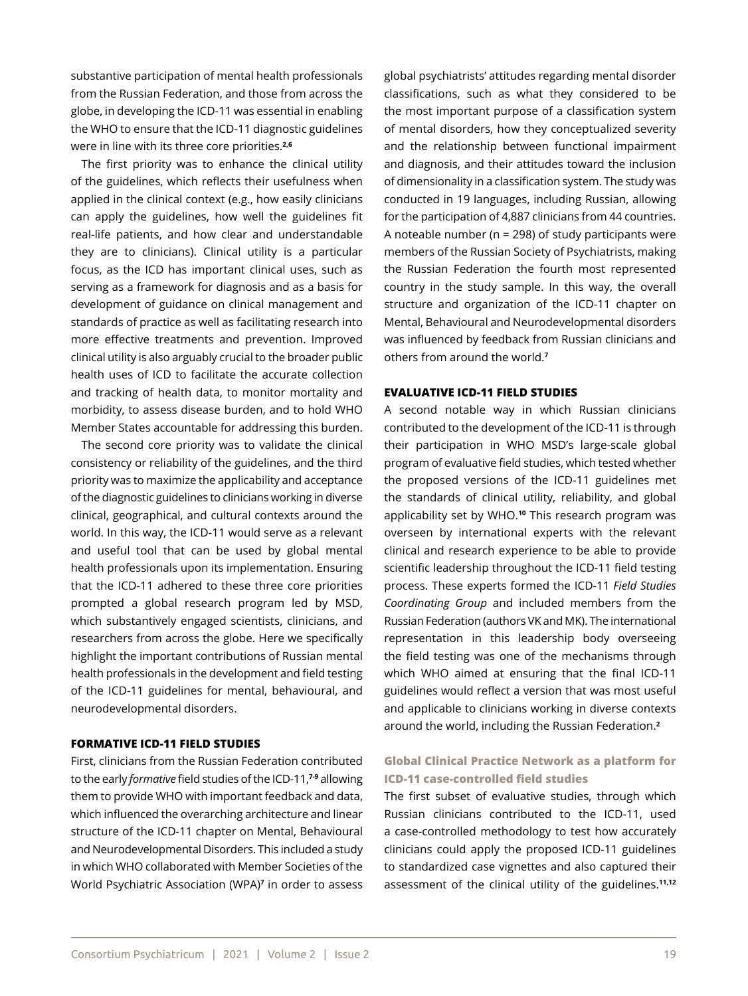substantive participation of mental health professionals from the Russian Federation, and those from across the globe, in developing the ICD-11 was essential in enabling the WHO to ensure that the ICD-11 diagnostic guidelines were in line with its three core priorities.**2,6**

The first priority was to enhance the clinical utility of the guidelines, which reflects their usefulness when applied in the clinical context (e.g., how easily clinicians can apply the guidelines, how well the guidelines fit real-life patients, and how clear and understandable they are to clinicians). Clinical utility is a particular focus, as the ICD has important clinical uses, such as serving as a framework for diagnosis and as a basis for development of guidance on clinical management and standards of practice as well as facilitating research into more effective treatments and prevention. Improved clinical utility is also arguably crucial to the broader public health uses of ICD to facilitate the accurate collection and tracking of health data, to monitor mortality and morbidity, to assess disease burden, and to hold WHO Member States accountable for addressing this burden.

The second core priority was to validate the clinical consistency or reliability of the guidelines, and the third priority was to maximize the applicability and acceptance of the diagnostic guidelines to clinicians working in diverse clinical, geographical, and cultural contexts around the world. In this way, the ICD-11 would serve as a relevant and useful tool that can be used by global mental health professionals upon its implementation. Ensuring that the ICD-11 adhered to these three core priorities prompted a global research program led by MSD, which substantively engaged scientists, clinicians, and researchers from across the globe. Here we specifically highlight the important contributions of Russian mental health professionals in the development and field testing of the ICD-11 guidelines for mental, behavioural, and neurodevelopmental disorders.

#### **FORMATIVE ICD-11 FIELD STUDIES**

First, clinicians from the Russian Federation contributed to the early *formative* field studies of the ICD-11,**7-9** allowing them to provide WHO with important feedback and data, which influenced the overarching architecture and linear structure of the ICD-11 chapter on Mental, Behavioural and Neurodevelopmental Disorders. This included a study in which WHO collaborated with Member Societies of the World Psychiatric Association (WPA)**<sup>7</sup>** in order to assess global psychiatrists' attitudes regarding mental disorder classifications, such as what they considered to be the most important purpose of a classification system of mental disorders, how they conceptualized severity and the relationship between functional impairment and diagnosis, and their attitudes toward the inclusion of dimensionality in a classification system. The study was conducted in 19 languages, including Russian, allowing for the participation of 4,887 clinicians from 44 countries. A noteable number (n = 298) of study participants were members of the Russian Society of Psychiatrists, making the Russian Federation the fourth most represented country in the study sample. In this way, the overall structure and organization of the ICD-11 chapter on Mental, Behavioural and Neurodevelopmental disorders was influenced by feedback from Russian clinicians and others from around the world.**<sup>7</sup>**

#### **EVALUATIVE ICD-11 FIELD STUDIES**

A second notable way in which Russian clinicians contributed to the development of the ICD-11 is through their participation in WHO MSD's large-scale global program of evaluative field studies, which tested whether the proposed versions of the ICD-11 guidelines met the standards of clinical utility, reliability, and global applicability set by WHO.**10** This research program was overseen by international experts with the relevant clinical and research experience to be able to provide scientific leadership throughout the ICD-11 field testing process. These experts formed the ICD-11 *Field Studies Coordinating Group* and included members from the Russian Federation (authors VK and MK). The international representation in this leadership body overseeing the field testing was one of the mechanisms through which WHO aimed at ensuring that the final ICD-11 guidelines would reflect a version that was most useful and applicable to clinicians working in diverse contexts around the world, including the Russian Federation.**<sup>2</sup>**

# **Global Clinical Practice Network as a platform for ICD-11 case-controlled field studies**

The first subset of evaluative studies, through which Russian clinicians contributed to the ICD-11, used a case-controlled methodology to test how accurately clinicians could apply the proposed ICD-11 guidelines to standardized case vignettes and also captured their assessment of the clinical utility of the guidelines.**11,12**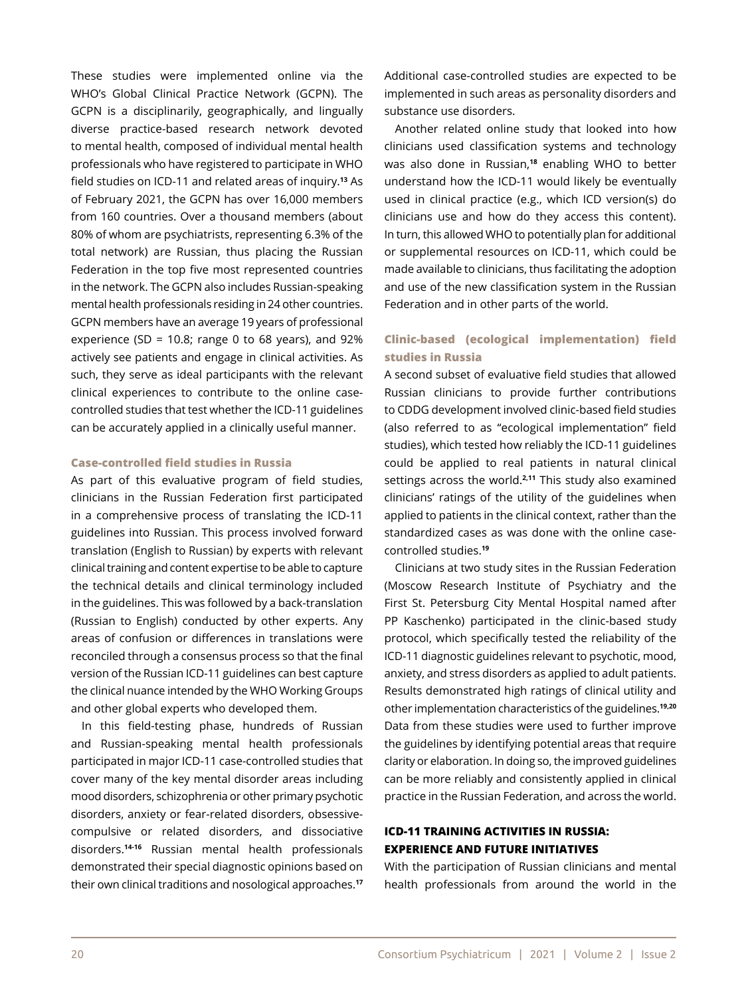These studies were implemented online via the WHO's Global Clinical Practice Network (GCPN). The GCPN is a disciplinarily, geographically, and lingually diverse practice-based research network devoted to mental health, composed of individual mental health professionals who have registered to participate in WHO field studies on ICD-11 and related areas of inquiry.**13** As of February 2021, the GCPN has over 16,000 members from 160 countries. Over a thousand members (about 80% of whom are psychiatrists, representing 6.3% of the total network) are Russian, thus placing the Russian Federation in the top five most represented countries in the network. The GCPN also includes Russian-speaking mental health professionals residing in 24 other countries. GCPN members have an average 19 years of professional experience (SD = 10.8; range 0 to 68 years), and  $92\%$ actively see patients and engage in clinical activities. As such, they serve as ideal participants with the relevant clinical experiences to contribute to the online casecontrolled studies that test whether the ICD-11 guidelines can be accurately applied in a clinically useful manner.

#### **Case-controlled field studies in Russia**

As part of this evaluative program of field studies, clinicians in the Russian Federation first participated in a comprehensive process of translating the ICD-11 guidelines into Russian. This process involved forward translation (English to Russian) by experts with relevant clinical training and content expertise to be able to capture the technical details and clinical terminology included in the guidelines. This was followed by a back-translation (Russian to English) conducted by other experts. Any areas of confusion or differences in translations were reconciled through a consensus process so that the final version of the Russian ICD-11 guidelines can best capture the clinical nuance intended by the WHO Working Groups and other global experts who developed them.

In this field-testing phase, hundreds of Russian and Russian-speaking mental health professionals participated in major ICD-11 case-controlled studies that cover many of the key mental disorder areas including mood disorders, schizophrenia or other primary psychotic disorders, anxiety or fear-related disorders, obsessivecompulsive or related disorders, and dissociative disorders.**14-16** Russian mental health professionals demonstrated their special diagnostic opinions based on their own clinical traditions and nosological approaches.**<sup>17</sup>** Additional case-controlled studies are expected to be implemented in such areas as personality disorders and substance use disorders.

Another related online study that looked into how clinicians used classification systems and technology was also done in Russian,**18** enabling WHO to better understand how the ICD-11 would likely be eventually used in clinical practice (e.g., which ICD version(s) do clinicians use and how do they access this content). In turn, this allowed WHO to potentially plan for additional or supplemental resources on ICD-11, which could be made available to clinicians, thus facilitating the adoption and use of the new classification system in the Russian Federation and in other parts of the world.

## **Clinic-based (ecological implementation) field studies in Russia**

A second subset of evaluative field studies that allowed Russian clinicians to provide further contributions to CDDG development involved clinic-based field studies (also referred to as "ecological implementation" field studies), which tested how reliably the ICD-11 guidelines could be applied to real patients in natural clinical settings across the world.**2,11** This study also examined clinicians' ratings of the utility of the guidelines when applied to patients in the clinical context, rather than the standardized cases as was done with the online casecontrolled studies.**<sup>19</sup>**

Clinicians at two study sites in the Russian Federation (Moscow Research Institute of Psychiatry and the First St. Petersburg City Mental Hospital named after PP Kaschenko) participated in the clinic-based study protocol, which specifically tested the reliability of the ICD-11 diagnostic guidelines relevant to psychotic, mood, anxiety, and stress disorders as applied to adult patients. Results demonstrated high ratings of clinical utility and other implementation characteristics of the guidelines.**19,20** Data from these studies were used to further improve the guidelines by identifying potential areas that require clarity or elaboration. In doing so, the improved guidelines can be more reliably and consistently applied in clinical practice in the Russian Federation, and across the world.

## **ICD-11 TRAINING ACTIVITIES IN RUSSIA: EXPERIENCE AND FUTURE INITIATIVES**

With the participation of Russian clinicians and mental health professionals from around the world in the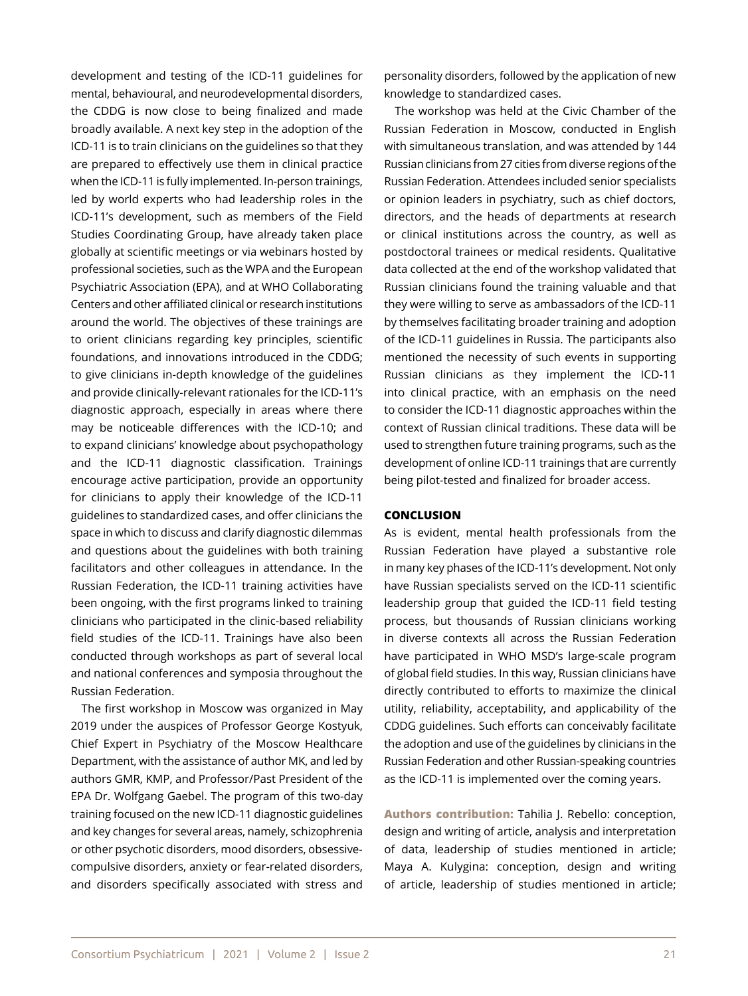development and testing of the ICD-11 guidelines for mental, behavioural, and neurodevelopmental disorders, the CDDG is now close to being finalized and made broadly available. A next key step in the adoption of the ICD-11 is to train clinicians on the guidelines so that they are prepared to effectively use them in clinical practice when the ICD-11 is fully implemented. In-person trainings, led by world experts who had leadership roles in the ICD-11's development, such as members of the Field Studies Coordinating Group, have already taken place globally at scientific meetings or via webinars hosted by professional societies, such as the WPA and the European Psychiatric Association (EPA), and at WHO Collaborating Centers and other affiliated clinical or research institutions around the world. The objectives of these trainings are to orient clinicians regarding key principles, scientific foundations, and innovations introduced in the CDDG; to give clinicians in-depth knowledge of the guidelines and provide clinically-relevant rationales for the ICD-11's diagnostic approach, especially in areas where there may be noticeable differences with the ICD-10; and to expand clinicians' knowledge about psychopathology and the ICD-11 diagnostic classification. Trainings encourage active participation, provide an opportunity for clinicians to apply their knowledge of the ICD-11 guidelines to standardized cases, and offer clinicians the space in which to discuss and clarify diagnostic dilemmas and questions about the guidelines with both training facilitators and other colleagues in attendance. In the Russian Federation, the ICD-11 training activities have been ongoing, with the first programs linked to training clinicians who participated in the clinic-based reliability field studies of the ICD-11. Trainings have also been conducted through workshops as part of several local and national conferences and symposia throughout the Russian Federation.

The first workshop in Moscow was organized in May 2019 under the auspices of Professor George Kostyuk, Chief Expert in Psychiatry of the Moscow Healthcare Department, with the assistance of author MK, and led by authors GMR, KMP, and Professor/Past President of the EPA Dr. Wolfgang Gaebel. The program of this two-day training focused on the new ICD-11 diagnostic guidelines and key changes for several areas, namely, schizophrenia or other psychotic disorders, mood disorders, obsessivecompulsive disorders, anxiety or fear-related disorders, and disorders specifically associated with stress and personality disorders, followed by the application of new knowledge to standardized cases.

The workshop was held at the Civic Chamber of the Russian Federation in Moscow, conducted in English with simultaneous translation, and was attended by 144 Russian clinicians from 27 cities from diverse regions of the Russian Federation. Attendees included senior specialists or opinion leaders in psychiatry, such as chief doctors, directors, and the heads of departments at research or clinical institutions across the country, as well as postdoctoral trainees or medical residents. Qualitative data collected at the end of the workshop validated that Russian clinicians found the training valuable and that they were willing to serve as ambassadors of the ICD-11 by themselves facilitating broader training and adoption of the ICD-11 guidelines in Russia. The participants also mentioned the necessity of such events in supporting Russian clinicians as they implement the ICD-11 into clinical practice, with an emphasis on the need to consider the ICD-11 diagnostic approaches within the context of Russian clinical traditions. These data will be used to strengthen future training programs, such as the development of online ICD-11 trainings that are currently being pilot-tested and finalized for broader access.

#### **CONCLUSION**

As is evident, mental health professionals from the Russian Federation have played a substantive role in many key phases of the ICD-11's development. Not only have Russian specialists served on the ICD-11 scientific leadership group that guided the ICD-11 field testing process, but thousands of Russian clinicians working in diverse contexts all across the Russian Federation have participated in WHO MSD's large-scale program of global field studies. In this way, Russian clinicians have directly contributed to efforts to maximize the clinical utility, reliability, acceptability, and applicability of the CDDG guidelines. Such efforts can conceivably facilitate the adoption and use of the guidelines by clinicians in the Russian Federation and other Russian-speaking countries as the ICD-11 is implemented over the coming years.

**Authors contribution:** Tahilia J. Rebello: conception, design and writing of article, analysis and interpretation of data, leadership of studies mentioned in article; Maya A. Kulygina: conception, design and writing of article, leadership of studies mentioned in article;